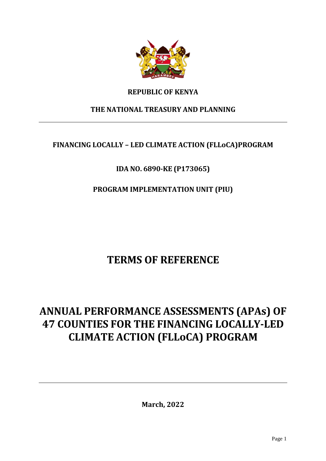

## **REPUBLIC OF KENYA**

## **THE NATIONAL TREASURY AND PLANNING**

# **FINANCING LOCALLY – LED CLIMATE ACTION (FLLoCA)PROGRAM**

# **IDA NO. 6890-KE (P173065)**

# **PROGRAM IMPLEMENTATION UNIT (PIU)**

# **TERMS OF REFERENCE**

# **ANNUAL PERFORMANCE ASSESSMENTS (APAs) OF 47 COUNTIES FOR THE FINANCING LOCALLY-LED CLIMATE ACTION (FLLoCA) PROGRAM**

**March, 2022**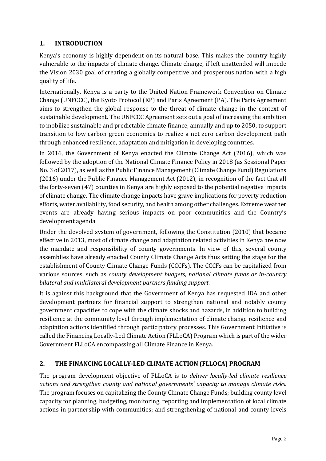## **1. INTRODUCTION**

Kenya's economy is highly dependent on its natural base. This makes the country highly vulnerable to the impacts of climate change. Climate change, if left unattended will impede the Vision 2030 goal of creating a globally competitive and prosperous nation with a high quality of life.

Internationally, Kenya is a party to the United Nation Framework Convention on Climate Change (UNFCCC), the Kyoto Protocol (KP) and Paris Agreement (PA). The Paris Agreement aims to strengthen the global response to the threat of climate change in the context of sustainable development. The UNFCCC Agreement sets out a goal of increasing the ambition to mobilize sustainable and predictable climate finance, annually and up to 2050, to support transition to low carbon green economies to realize a net zero carbon development path through enhanced resilience, adaptation and mitigation in developing countries.

In 2016, the Government of Kenya enacted the Climate Change Act (2016), which was followed by the adoption of the National Climate Finance Policy in 2018 (as Sessional Paper No. 3 of 2017), as well as the Public Finance Management (Climate Change Fund) Regulations (2016) under the Public Finance Management Act (2012), in recognition of the fact that all the forty-seven (47) counties in Kenya are highly exposed to the potential negative impacts of climate change. The climate change impacts have grave implications for poverty reduction efforts, water availability, food security, and health among other challenges. Extreme weather events are already having serious impacts on poor communities and the Country's development agenda.

Under the devolved system of government, following the Constitution (2010) that became effective in 2013, most of climate change and adaptation related activities in Kenya are now the mandate and responsibility of county governments. In view of this, several county assemblies have already enacted County Climate Change Acts thus setting the stage for the establishment of County Climate Change Funds (CCCFs). The CCCFs can be capitalized from various sources, such as *county development budgets, national climate funds or in-country bilateral and multilateral development partners funding support.*

It is against this background that the Government of Kenya has requested IDA and other development partners for financial support to strengthen national and notably county government capacities to cope with the climate shocks and hazards, in addition to building resilience at the community level through implementation of climate change resilience and adaptation actions identified through participatory processes. This Government Initiative is called the Financing Locally-Led Climate Action (FLLoCA) Program which is part of the wider Government FLLoCA encompassing all Climate Finance in Kenya.

#### **2. THE FINANCING LOCALLY-LED CLIMATE ACTION (FLLOCA) PROGRAM**

The program development objective of FLLoCA is to *deliver locally-led climate resilience actions and strengthen county and national governments' capacity to manage climate risks*. The program focuses on capitalizing the County Climate Change Funds; building county level capacity for planning, budgeting, monitoring, reporting and implementation of local climate actions in partnership with communities; and strengthening of national and county levels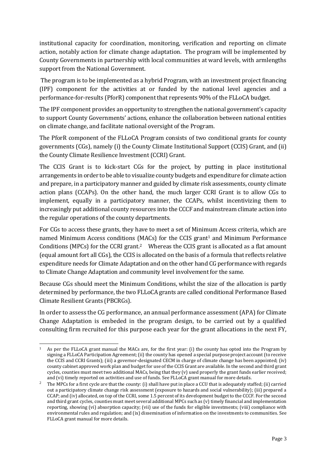institutional capacity for coordination, monitoring, verification and reporting on climate action, notably action for climate change adaptation. The program will be implemented by County Governments in partnership with local communities at ward levels, with armlengths support from the National Government.

The program is to be implemented as a hybrid Program, with an investment project financing (IPF) component for the activities at or funded by the national level agencies and a performance-for-results (PforR) component that represents 90% of the FLLoCA budget.

The IPF component provides an opportunity to strengthen the national government's capacity to support County Governments' actions, enhance the collaboration between national entities on climate change, and facilitate national oversight of the Program.

The PforR component of the FLLoCA Program consists of two conditional grants for county governments (CGs), namely (i) the County Climate Institutional Support (CCIS) Grant, and (ii) the County Climate Resilience Investment (CCRI) Grant.

The CCIS Grant is to kick-start CGs for the project, by putting in place institutional arrangements in order to be able to visualize county budgets and expenditure for climate action and prepare, in a participatory manner and guided by climate risk assessments, county climate action plans (CCAPs). On the other hand, the much larger CCRI Grant is to allow CGs to implement, equally in a participatory manner, the CCAPs, whilst incentivizing them to increasingly put additional county resources into the CCCF and mainstream climate action into the regular operations of the county departments.

For CGs to access these grants, they have to meet a set of Minimum Access criteria, which are named Minimum Access conditions (MACs) for the CCIS grant<sup>1</sup> and Minimum Performance Conditions (MPCs) for the CCRI grant.<sup>2</sup> Whereas the CCIS grant is allocated as a flat amount (equal amount fort all CGs), the CCIS is allocated on the basis of a formula that reflects relative expenditure needs for Climate Adaptation and on the other hand CG performance with regards to Climate Change Adaptation and community level involvement for the same.

Because CGs should meet the Minimum Conditions, whilst the size of the allocation is partly determined by performance, the two FLLoCA grants are called conditional Performance Based Climate Resilient Grants (PBCRGs).

In order to assess the CG performance, an annual performance assessment (APA) for Climate Change Adaptation is embeded in the program design, to be carried out by a qualified consulting firm recruited for this purpose each year for the grant allocations in the next FY,

 $\overline{a}$ <sup>1</sup> As per the FLLoCA grant manual the MACs are, for the first year: (i) the county has opted into the Program by signing a FLLoCA Participation Agreement; (ii) the county has opened a special purpose project account (to receive the CCIS and CCRI Grants); (iii) a governor-designated CECM in charge of climate change has been appointed; (iv) county cabinet approved work plan and budget for use of the CCIS Grant are available. In the second and third grant cycles, counties must meet two additional MACs, being that they (v) used properly the grant funds earlier received; and (vi) timely reported on activities and use of funds. See FLLoCA grant manual for more details.

<sup>&</sup>lt;sup>2</sup> The MPCs for a first cycle are that the county: (i) shall have put in place a CCU that is adequately staffed; (ii) carried out a participatory climate change risk assessment (exposure to hazards and social vulnerability); (iii) prepared a CCAP; and (iv) allocated, on top of the CCRI, some 1.5 percent of its development budget to the CCCF. For the second and third grant cycles, counties must meet several additional MPCs such as (v) timely financial and implementation reporting, showing (vi) absorption capacity; (vii) use of the funds for eligible investments; (viii) compliance with environmental rules and regulation; and (ix) dissemination of information on the investments to communities. See FLLoCA grant manual for more details.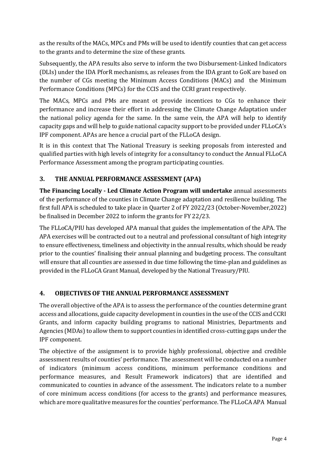as the results of the MACs, MPCs and PMs will be used to identify counties that can get access to the grants and to determine the size of these grants.

Subsequently, the APA results also serve to inform the two Disbursement-Linked Indicators (DLIs) under the IDA PforR mechanisms, as releases from the IDA grant to GoK are based on the number of CGs meeting the Minimum Access Conditions (MACs) and the Minimum Performance Conditions (MPCs) for the CCIS and the CCRI grant respectively.

The MACs, MPCs and PMs are meant ot provide incentices to CGs to enhance their performance and increase their effort in addressing the Climate Change Adaptation under the national policy agenda for the same. In the same vein, the APA will help to identify capacity gaps and will help to guide national capacity support to be provided under FLLoCA's IPF component. APAs are hence a crucial part of the FLLoCA design.

It is in this context that The National Treasury is seeking proposals from interested and qualified parties with high levels of integrity for a consultancy to conduct the Annual FLLoCA Performance Assessment among the program participating counties.

## **3. THE ANNUAL PERFORMANCE ASSESSMENT (APA)**

**The Financing Locally - Led Climate Action Program will undertake** annual assessments of the performance of the counties in Climate Change adaptation and resilience building. The first full APA is scheduled to take place in Quarter 2 of FY 2022/23 (October-November,2022) be finalised in December 2022 to inform the grants for FY 22/23.

The FLLoCA/PIU has developed APA manual that guides the implementation of the APA. The APA exercises will be contracted out to a neutral and professional consultant of high integrity to ensure effectiveness, timeliness and objectivity in the annual results, which should be ready prior to the counties' finalising their annual planning and budgeting process. The consultant will ensure that all counties are assessed in due time following the time-plan and guidelines as provided in the FLLoCA Grant Manual, developed by the National Treasury/PIU.

#### **4. OBJECTIVES OF THE ANNUAL PERFORMANCE ASSESSMENT**

The overall objective of the APA is to assess the performance of the counties determine grant access and allocations, guide capacity development in counties in the use of the CCIS and CCRI Grants, and inform capacity building programs to national Ministries, Departments and Agencies (MDAs) to allow them to support counties in identified cross-cutting gaps under the IPF component.

The objective of the assignment is to provide highly professional, objective and credible assessment results of counties' performance. The assessment will be conducted on a number of indicators (minimum access conditions, minimum performance conditions and performance measures, and Result Framework indicators) that are identified and communicated to counties in advance of the assessment. The indicators relate to a number of core minimum access conditions (for access to the grants) and performance measures, which are more qualitative measures for the counties' performance. The FLLoCA APA Manual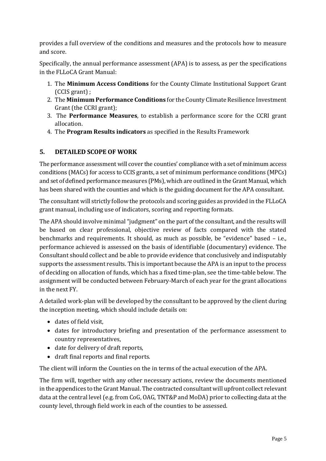provides a full overview of the conditions and measures and the protocols how to measure and score.

Specifically, the annual performance assessment (APA) is to assess, as per the specifications in the FLLoCA Grant Manual:

- 1. The **Minimum Access Conditions** for the County Climate Institutional Support Grant (CCIS grant) ;
- 2. The **Minimum Performance Conditions** for the County Climate Resilience Investment Grant (the CCRI grant);
- 3. The **Performance Measures**, to establish a performance score for the CCRI grant allocation.
- 4. The **Program Results indicators** as specified in the Results Framework

## **5. DETAILED SCOPE OF WORK**

The performance assessment will cover the counties' compliance with a set of minimum access conditions (MACs) for access to CCIS grants, a set of minimum performance conditions (MPCs) and set of defined performance measures (PMs), which are outlined in the Grant Manual, which has been shared with the counties and which is the guiding document for the APA consultant.

The consultant will strictly follow the protocols and scoring guides as provided in the FLLoCA grant manual, including use of indicators, scoring and reporting formats.

The APA should involve minimal "judgment" on the part of the consultant, and the results will be based on clear professional, objective review of facts compared with the stated benchmarks and requirements. It should, as much as possible, be "evidence" based – i.e., performance achieved is assessed on the basis of identifiable (documentary) evidence. The Consultant should collect and be able to provide evidence that conclusively and indisputably supports the assessment results. This is important because the APA is an input to the process of deciding on allocation of funds, which has a fixed time-plan, see the time-table below. The assignment will be conducted between February-March of each year for the grant allocations in the next FY.

A detailed work-plan will be developed by the consultant to be approved by the client during the inception meeting, which should include details on:

- dates of field visit,
- dates for introductory briefing and presentation of the performance assessment to country representatives,
- date for delivery of draft reports,
- draft final reports and final reports.

The client will inform the Counties on the in terms of the actual execution of the APA.

The firm will, together with any other necessary actions, review the documents mentioned in the appendices to the Grant Manual. The contracted consultant will upfront collect relevant data at the central level (e.g. from CoG, OAG, TNT&P and MoDA) prior to collecting data at the county level, through field work in each of the counties to be assessed.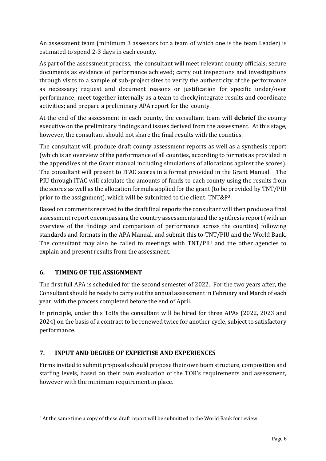An assessment team (minimum 3 assessors for a team of which one is the team Leader) is estimated to spend 2-3 days in each county.

As part of the assessment process, the consultant will meet relevant county officials; secure documents as evidence of performance achieved; carry out inspections and investigations through visits to a sample of sub-project sites to verify the authenticity of the performance as necessary; request and document reasons or justification for specific under/over performance; meet together internally as a team to check/integrate results and coordinate activities; and prepare a preliminary APA report for the county.

At the end of the assessment in each county, the consultant team will **debrief** the county executive on the preliminary findings and issues derived from the assessment. At this stage, however, the consultant should not share the final results with the counties.

The consultant will produce draft county assessment reports as well as a synthesis report (which is an overview of the performance of all counties, according to formats as provided in the appendices of the Grant manual including simulations of allocations against the scores). The consultant will present to ITAC scores in a format provided in the Grant Manual. The PIU through ITAC will calculate the amounts of funds to each county using the results from the scores as well as the allocation formula applied for the grant (to be provided by TNT/PIU prior to the assignment), which will be submitted to the client: TNT&P3.

Based on comments received to the draft final reports the consultant will then produce a final assessment report encompassing the country assessments and the synthesis report (with an overview of the findings and comparison of performance across the counties) following standards and formats in the APA Manual, and submit this to TNT/PIU and the World Bank. The consultant may also be called to meetings with TNT/PIU and the other agencies to explain and present results from the assessment.

## **6. TIMING OF THE ASSIGNMENT**

The first full APA is scheduled for the second semester of 2022. For the two years after, the Consultant should be ready to carry out the annual assessment in February and March of each year, with the process completed before the end of April.

In principle, under this ToRs the consultant will be hired for three APAs (2022, 2023 and 2024) on the basis of a contract to be renewed twice for another cycle, subject to satisfactory performance.

## **7. INPUT AND DEGREE OF EXPERTISE AND EXPERIENCES**

Firms invited to submit proposals should propose their own team structure, composition and staffing levels, based on their own evaluation of the TOR's requirements and assessment, however with the minimum requirement in place.

 $\overline{a}$  $3$  At the same time a copy of these draft report will be submitted to the World Bank for review.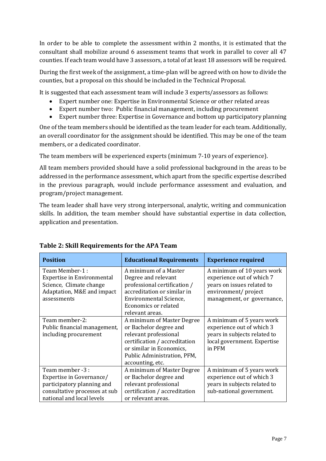In order to be able to complete the assessment within 2 months, it is estimated that the consultant shall mobilize around 6 assessment teams that work in parallel to cover all 47 counties. If each team would have 3 assessors, a total of at least 18 assessors will be required.

During the first week of the assignment, a time-plan will be agreed with on how to divide the counties, but a proposal on this should be included in the Technical Proposal.

It is suggested that each assessment team will include 3 experts/assessors as follows:

- Expert number one: Expertise in Environmental Science or other related areas
- Expert number two: Public financial management, including procurement
- Expert number three: Expertise in Governance and bottom up participatory planning

One of the team members should be identified as the team leader for each team. Additionally, an overall coordinator for the assignment should be identified. This may be one of the team members, or a dedicated coordinator.

The team members will be experienced experts (minimum 7-10 years of experience).

All team members provided should have a solid professional background in the areas to be addressed in the performance assessment, which apart from the specific expertise described in the previous paragraph, would include performance assessment and evaluation, and program/project management.

The team leader shall have very strong interpersonal, analytic, writing and communication skills. In addition, the team member should have substantial expertise in data collection, application and presentation.

| <b>Position</b>                                                                                                                          | <b>Educational Requirements</b>                                                                                                                                                               | <b>Experience required</b>                                                                                                                  |
|------------------------------------------------------------------------------------------------------------------------------------------|-----------------------------------------------------------------------------------------------------------------------------------------------------------------------------------------------|---------------------------------------------------------------------------------------------------------------------------------------------|
| Team Member-1:<br><b>Expertise in Environmental</b><br>Science, Climate change<br>Adaptation, M&E and impact<br>assessments              | A minimum of a Master<br>Degree and relevant<br>professional certification /<br>accreditation or similar in<br>Environmental Science,<br><b>Economics or related</b><br>relevant areas.       | A minimum of 10 years work<br>experience out of which 7<br>years on issues related to<br>environment/ project<br>management, or governance, |
| Team member-2:<br>Public financial management,<br>including procurement                                                                  | A minimum of Master Degree<br>or Bachelor degree and<br>relevant professional<br>certification / accreditation<br>or similar in Economics,<br>Public Administration, PFM,<br>accounting, etc. | A minimum of 5 years work<br>experience out of which 3<br>years in subjects related to<br>local government. Expertise<br>in PFM             |
| Team member -3 :<br>Expertise in Governance/<br>participatory planning and<br>consultative processes at sub<br>national and local levels | A minimum of Master Degree<br>or Bachelor degree and<br>relevant professional<br>certification / accreditation<br>or relevant areas.                                                          | A minimum of 5 years work<br>experience out of which 3<br>years in subjects related to<br>sub-national government.                          |

#### **Table 2: Skill Requirements for the APA Team**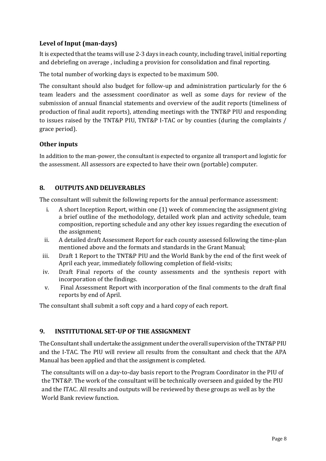## **Level of Input (man-days)**

It is expected that the teams will use 2-3 days in each county, including travel, initial reporting and debriefing on average , including a provision for consolidation and final reporting.

The total number of working days is expected to be maximum 500.

The consultant should also budget for follow-up and administration particularly for the 6 team leaders and the assessment coordinator as well as some days for review of the submission of annual financial statements and overview of the audit reports (timeliness of production of final audit reports), attending meetings with the TNT&P PIU and responding to issues raised by the TNT&P PIU, TNT&P I-TAC or by counties (during the complaints / grace period).

#### **Other inputs**

In addition to the man-power, the consultant is expected to organize all transport and logistic for the assessment. All assessors are expected to have their own (portable) computer.

## **8. OUTPUTS AND DELIVERABLES**

The consultant will submit the following reports for the annual performance assessment:

- i. A short Inception Report, within one (1) week of commencing the assignment giving a brief outline of the methodology, detailed work plan and activity schedule, team composition, reporting schedule and any other key issues regarding the execution of the assignment;
- ii. A detailed draft Assessment Report for each county assessed following the time-plan mentioned above and the formats and standards in the Grant Manual;
- iii. Draft 1 Report to the TNT&P PIU and the World Bank by the end of the first week of April each year, immediately following completion of field-visits;
- iv. Draft Final reports of the county assessments and the synthesis report with incorporation of the findings.
- v. Final Assessment Report with incorporation of the final comments to the draft final reports by end of April.

The consultant shall submit a soft copy and a hard copy of each report.

#### **9. INSTITUTIONAL SET-UP OF THE ASSIGNMENT**

The Consultant shall undertake the assignment under the overall supervision of the TNT&P PIU and the I-TAC. The PIU will review all results from the consultant and check that the APA Manual has been applied and that the assignment is completed.

The consultants will on a day-to-day basis report to the Program Coordinator in the PIU of the TNT&P. The work of the consultant will be technically overseen and guided by the PIU and the ITAC. All results and outputs will be reviewed by these groups as well as by the World Bank review function.